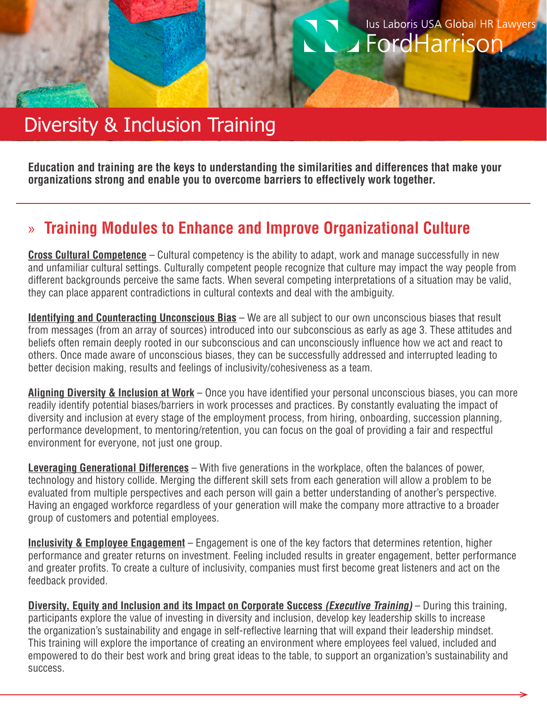## lus Laboris USA Global HR Lawyers FordHarrison

# Diversity & Inclusion Training

**Education and training are the keys to understanding the similarities and differences that make your organizations strong and enable you to overcome barriers to effectively work together.** 

#### » **Training Modules to Enhance and Improve Organizational Culture**

**Cross Cultural Competence** – Cultural competency is the ability to adapt, work and manage successfully in new and unfamiliar cultural settings. Culturally competent people recognize that culture may impact the way people from different backgrounds perceive the same facts. When several competing interpretations of a situation may be valid, they can place apparent contradictions in cultural contexts and deal with the ambiguity.

**Identifying and Counteracting Unconscious Bias** – We are all subject to our own unconscious biases that result from messages (from an array of sources) introduced into our subconscious as early as age 3. These attitudes and beliefs often remain deeply rooted in our subconscious and can unconsciously influence how we act and react to others. Once made aware of unconscious biases, they can be successfully addressed and interrupted leading to better decision making, results and feelings of inclusivity/cohesiveness as a team.

**Aligning Diversity & Inclusion at Work** – Once you have identified your personal unconscious biases, you can more readily identify potential biases/barriers in work processes and practices. By constantly evaluating the impact of diversity and inclusion at every stage of the employment process, from hiring, onboarding, succession planning, performance development, to mentoring/retention, you can focus on the goal of providing a fair and respectful environment for everyone, not just one group.

**Leveraging Generational Differences** – With five generations in the workplace, often the balances of power, technology and history collide. Merging the different skill sets from each generation will allow a problem to be evaluated from multiple perspectives and each person will gain a better understanding of another's perspective. Having an engaged workforce regardless of your generation will make the company more attractive to a broader group of customers and potential employees.

**Inclusivity & Employee Engagement** – Engagement is one of the key factors that determines retention, higher performance and greater returns on investment. Feeling included results in greater engagement, better performance and greater profits. To create a culture of inclusivity, companies must first become great listeners and act on the feedback provided.

**Diversity, Equity and Inclusion and its Impact on Corporate Success (Executive Training)** – During this training, participants explore the value of investing in diversity and inclusion, develop key leadership skills to increase the organization's sustainability and engage in self-reflective learning that will expand their leadership mindset. This training will explore the importance of creating an environment where employees feel valued, included and empowered to do their best work and bring great ideas to the table, to support an organization's sustainability and success.